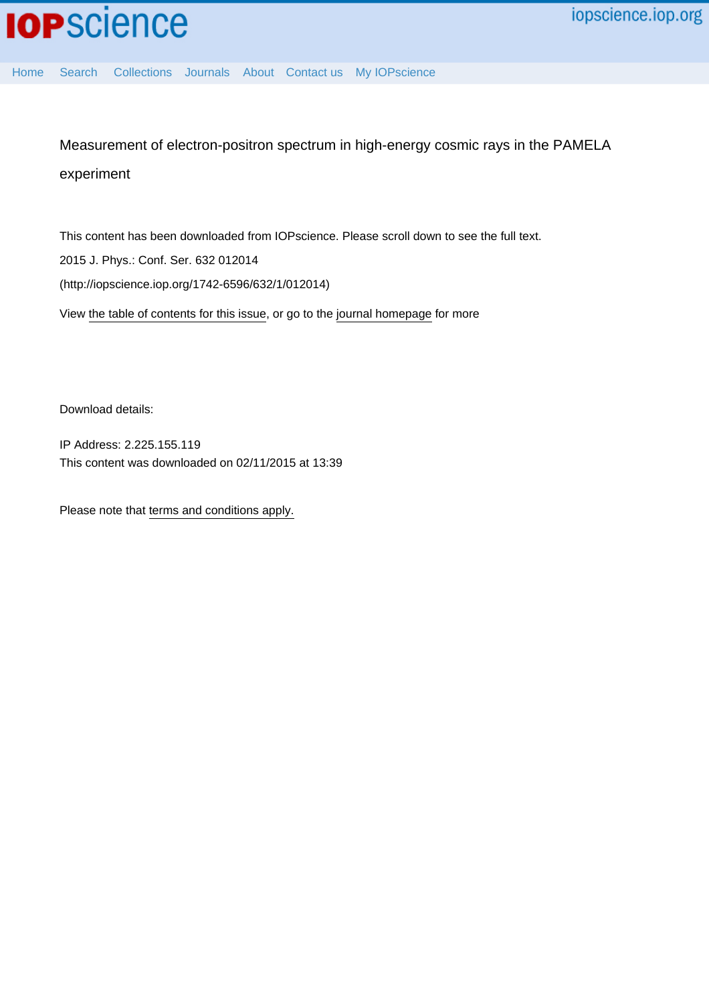[Home](http://iopscience.iop.org/) [Search](http://iopscience.iop.org/search) [Collections](http://iopscience.iop.org/collections) [Journals](http://iopscience.iop.org/journals) [About](http://iopscience.iop.org/page/aboutioppublishing) [Contact us](http://iopscience.iop.org/contact) [My IOPscience](http://iopscience.iop.org/myiopscience)

Measurement of electron-positron spectrum in high-energy cosmic rays in the PAMELA experiment

This content has been downloaded from IOPscience. Please scroll down to see the full text. View [the table of contents for this issue](http://iopscience.iop.org/1742-6596/632/1), or go to the [journal homepage](http://iopscience.iop.org/1742-6596) for more 2015 J. Phys.: Conf. Ser. 632 012014 (http://iopscience.iop.org/1742-6596/632/1/012014)

Download details:

IP Address: 2.225.155.119 This content was downloaded on 02/11/2015 at 13:39

Please note that [terms and conditions apply.](iopscience.iop.org/page/terms)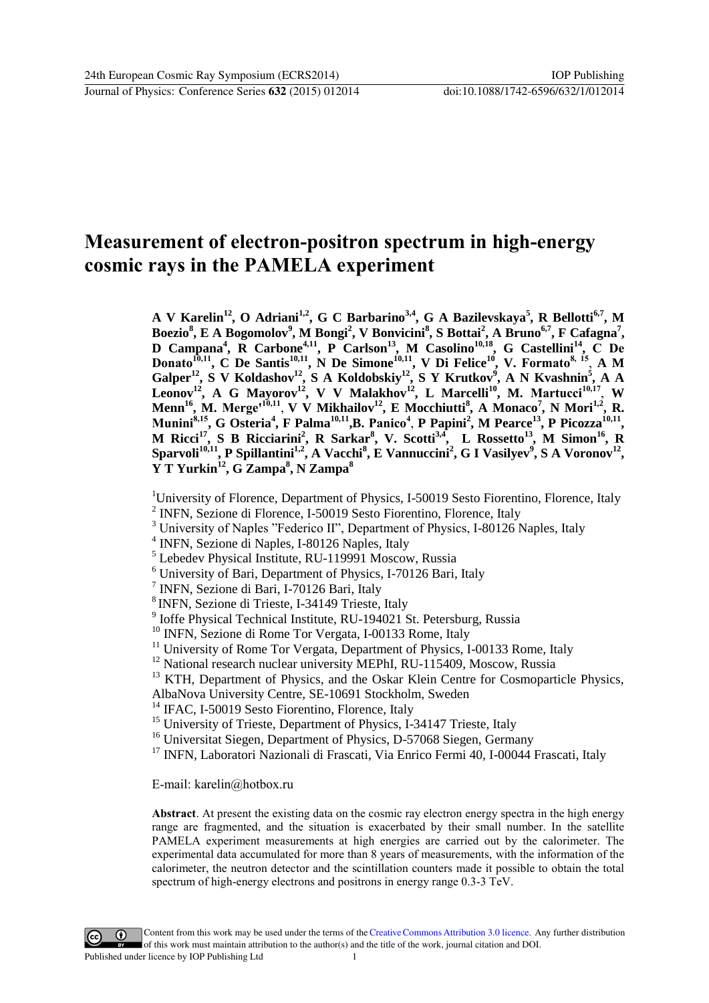# **Measurement of electron-positron spectrum in high-energy cosmic rays in the PAMELA experiment**

**A V Karelin<sup>12</sup>, O Adriani1,2, G C Barbarino3,4, G A Bazilevskaya<sup>5</sup> , R Bellotti6,7, M Boezio<sup>8</sup> , E A Bogomolov<sup>9</sup> , M Bongi<sup>2</sup> , V Bonvicini<sup>8</sup> , S Bottai<sup>2</sup> , A Bruno6,7, F Cafagna<sup>7</sup> , D Campana<sup>4</sup> , R Carbone4,11, P Carlson<sup>13</sup>, M Casolino10,18, G Castellini<sup>14</sup> , C De Donato10,11, C De Santis10,11, N De Simone10,11, V Di Felice<sup>10</sup>, V. Formato8, 15** , **A M Galper<sup>12</sup> , S V Koldashov<sup>12</sup>, S A Koldobskiy<sup>12</sup>, S Y Krutkov<sup>9</sup> , A N Kvashnin<sup>5</sup> , A A Leonov<sup>12</sup>, A G Mayorov<sup>12</sup> , V V Malakhov<sup>12</sup>, L Marcelli<sup>10</sup>, M. Martucci10,17** , **W Menn<sup>16</sup>, M. Merge'10,11** , **V V Mikhailov<sup>12</sup>, E Mocchiutti<sup>8</sup> , A Monaco<sup>7</sup> , N Mori1,2, R.**  Munini<sup>8,15</sup>, G Osteria<sup>4</sup>, F Palma<sup>10,11</sup>, B. Panico<sup>4</sup>, P Papini<sup>2</sup>, M Pearce<sup>13</sup>, P Picozza<sup>10,11</sup>, **M Ricci<sup>17</sup>, S B Ricciarini<sup>2</sup> , R Sarkar<sup>8</sup> , V. Scotti3,4, L Rossetto<sup>13</sup>, M Simon<sup>16</sup>, R**  Sparvoli<sup>10,11</sup>, P Spillantini<sup>1,2</sup>, A Vacchi<sup>8</sup>, E Vannuccini<sup>2</sup>, G I Vasilyev<sup>9</sup>, S A Voronov<sup>12</sup>, **Y T Yurkin<sup>12</sup> , G Zampa<sup>8</sup> , N Zampa<sup>8</sup>**

<sup>1</sup>University of Florence, Department of Physics, I-50019 Sesto Fiorentino, Florence, Italy <sup>2</sup> INFN, Sezione di Florence, I-50019 Sesto Fiorentino, Florence, Italy

- <sup>3</sup> University of Naples "Federico II", Department of Physics, I-80126 Naples, Italy
- 4 INFN, Sezione di Naples, I-80126 Naples, Italy
- <sup>5</sup> Lebedev Physical Institute, RU-119991 Moscow, Russia
- <sup>6</sup> University of Bari, Department of Physics, I-70126 Bari, Italy
- 7 INFN, Sezione di Bari, I-70126 Bari, Italy
- <sup>8</sup> INFN, Sezione di Trieste, I-34149 Trieste, Italy
- <sup>9</sup> Ioffe Physical Technical Institute, RU-194021 St. Petersburg, Russia
- <sup>10</sup> INFN, Sezione di Rome Tor Vergata, I-00133 Rome, Italy
- <sup>11</sup> University of Rome Tor Vergata, Department of Physics, I-00133 Rome, Italy
- <sup>12</sup> National research nuclear university MEPhI, RU-115409, Moscow, Russia
- <sup>13</sup> KTH, Department of Physics, and the Oskar Klein Centre for Cosmoparticle Physics,
- AlbaNova University Centre, SE-10691 Stockholm, Sweden
- <sup>14</sup> IFAC, I-50019 Sesto Fiorentino, Florence, Italy
- <sup>15</sup> University of Trieste, Department of Physics, I-34147 Trieste, Italy
- <sup>16</sup> Universitat Siegen, Department of Physics, D-57068 Siegen, Germany
- <sup>17</sup> INFN, Laboratori Nazionali di Frascati, Via Enrico Fermi 40, I-00044 Frascati, Italy

E-mail: karelin@hotbox.ru

**Abstract**. At present the existing data on the cosmic ray electron energy spectra in the high energy range are fragmented, and the situation is exacerbated by their small number. In the satellite PAMELA experiment measurements at high energies are carried out by the calorimeter. The experimental data accumulated for more than 8 years of measurements, with the information of the calorimeter, the neutron detector and the scintillation counters made it possible to obtain the total spectrum of high-energy electrons and positrons in energy range 0.3-3 TeV.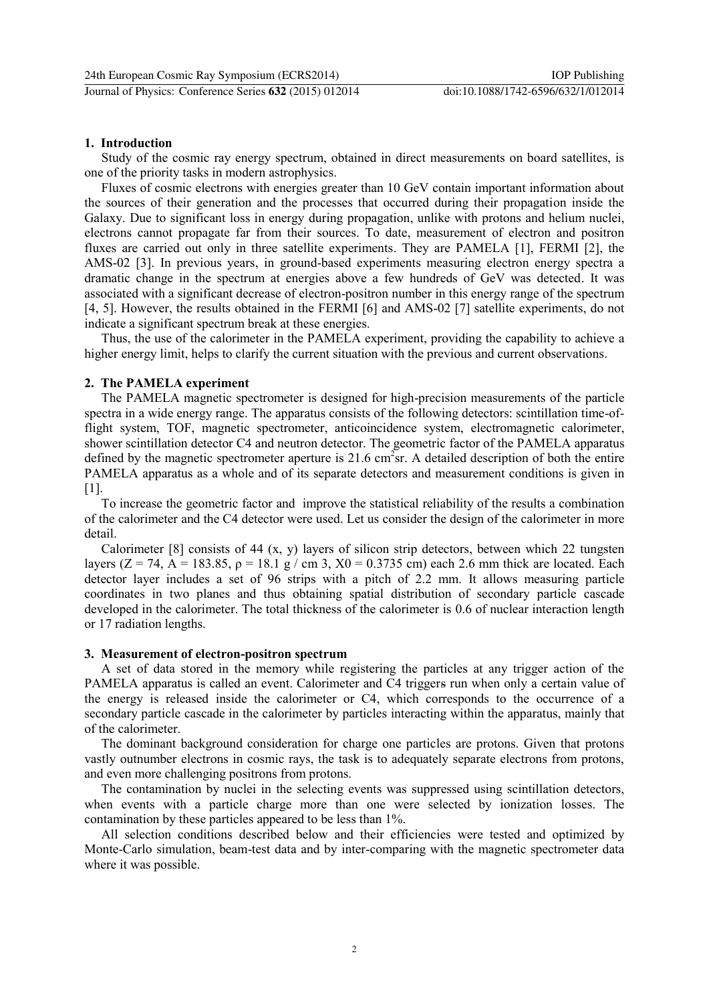## **1. Introduction**

Study of the cosmic ray energy spectrum, obtained in direct measurements on board satellites, is one of the priority tasks in modern astrophysics.

Fluxes of cosmic electrons with energies greater than 10 GeV contain important information about the sources of their generation and the processes that occurred during their propagation inside the Galaxy. Due to significant loss in energy during propagation, unlike with protons and helium nuclei, electrons cannot propagate far from their sources. To date, measurement of electron and positron fluxes are carried out only in three satellite experiments. They are PAMELA [1], FERMI [2], the AMS-02 [3]. In previous years, in ground-based experiments measuring electron energy spectra a dramatic change in the spectrum at energies above a few hundreds of GeV was detected. It was associated with a significant decrease of electron-positron number in this energy range of the spectrum [4, 5]. However, the results obtained in the FERMI [6] and AMS-02 [7] satellite experiments, do not indicate a significant spectrum break at these energies.

Thus, the use of the calorimeter in the PAMELA experiment, providing the capability to achieve a higher energy limit, helps to clarify the current situation with the previous and current observations.

## **2. The PAMELA experiment**

The PAMELA magnetic spectrometer is designed for high-precision measurements of the particle spectra in a wide energy range. The apparatus consists of the following detectors: scintillation time-offlight system, TOF, magnetic spectrometer, anticoincidence system, electromagnetic calorimeter, shower scintillation detector C4 and neutron detector. The geometric factor of the PAMELA apparatus defined by the magnetic spectrometer aperture is  $21.6 \text{ cm}^2\text{sr}$ . A detailed description of both the entire PAMELA apparatus as a whole and of its separate detectors and measurement conditions is given in  $[1]$ .

To increase the geometric factor and improve the statistical reliability of the results a combination of the calorimeter and the C4 detector were used. Let us consider the design of the calorimeter in more detail.

Calorimeter [8] consists of 44 (x, y) layers of silicon strip detectors, between which 22 tungsten layers (Z = 74, A = 183.85, ρ = 18.1 g / cm 3, X0 = 0.3735 cm) each 2.6 mm thick are located. Each detector layer includes a set of 96 strips with a pitch of 2.2 mm. It allows measuring particle coordinates in two planes and thus obtaining spatial distribution of secondary particle cascade developed in the calorimeter. The total thickness of the calorimeter is 0.6 of nuclear interaction length or 17 radiation lengths.

#### **3. Measurement of electron-positron spectrum**

A set of data stored in the memory while registering the particles at any trigger action of the PAMELA apparatus is called an event. Calorimeter and C4 triggers run when only a certain value of the energy is released inside the calorimeter or C4, which corresponds to the occurrence of a secondary particle cascade in the calorimeter by particles interacting within the apparatus, mainly that of the calorimeter.

The dominant background consideration for charge one particles are protons. Given that protons vastly outnumber electrons in cosmic rays, the task is to adequately separate electrons from protons, and even more challenging positrons from protons.

The contamination by nuclei in the selecting events was suppressed using scintillation detectors, when events with a particle charge more than one were selected by ionization losses. The contamination by these particles appeared to be less than 1%.

All selection conditions described below and their efficiencies were tested and optimized by Monte-Carlo simulation, beam-test data and by inter-comparing with the magnetic spectrometer data where it was possible.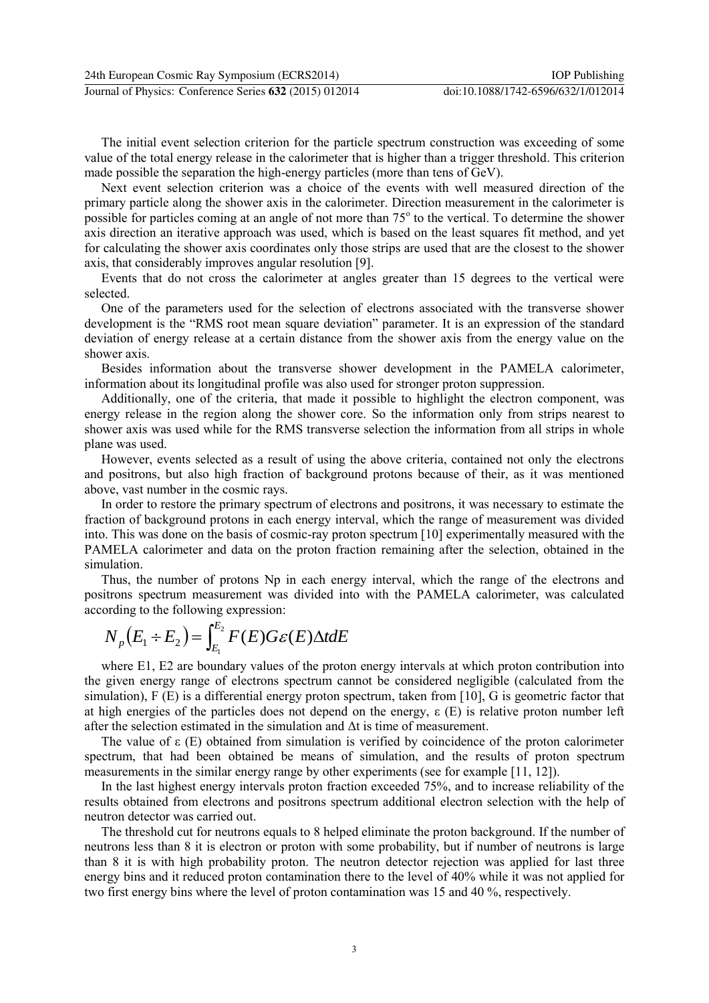The initial event selection criterion for the particle spectrum construction was exceeding of some value of the total energy release in the calorimeter that is higher than a trigger threshold. This criterion made possible the separation the high-energy particles (more than tens of GeV).

Next event selection criterion was a choice of the events with well measured direction of the primary particle along the shower axis in the calorimeter. Direction measurement in the calorimeter is possible for particles coming at an angle of not more than 75° to the vertical. To determine the shower axis direction an iterative approach was used, which is based on the least squares fit method, and yet for calculating the shower axis coordinates only those strips are used that are the closest to the shower axis, that considerably improves angular resolution [9].

Events that do not cross the calorimeter at angles greater than 15 degrees to the vertical were selected.

One of the parameters used for the selection of electrons associated with the transverse shower development is the "RMS root mean square deviation" parameter. It is an expression of the standard deviation of energy release at a certain distance from the shower axis from the energy value on the shower axis.

Besides information about the transverse shower development in the PAMELA calorimeter, information about its longitudinal profile was also used for stronger proton suppression.

Additionally, one of the criteria, that made it possible to highlight the electron component, was energy release in the region along the shower core. So the information only from strips nearest to shower axis was used while for the RMS transverse selection the information from all strips in whole plane was used.

However, events selected as a result of using the above criteria, contained not only the electrons and positrons, but also high fraction of background protons because of their, as it was mentioned above, vast number in the cosmic rays.

In order to restore the primary spectrum of electrons and positrons, it was necessary to estimate the fraction of background protons in each energy interval, which the range of measurement was divided into. This was done on the basis of cosmic-ray proton spectrum [10] experimentally measured with the PAMELA calorimeter and data on the proton fraction remaining after the selection, obtained in the simulation.

Thus, the number of protons Np in each energy interval, which the range of the electrons and positrons spectrum measurement was divided into with the PAMELA calorimeter, was calculated

possitions spectrum measurement was divided in  
according to the following expression:  

$$
N_p(E_1 \div E_2) = \int_{E_1}^{E_2} F(E)G\mathcal{E}(E)\Delta t dE
$$

where E1, E2 are boundary values of the proton energy intervals at which proton contribution into the given energy range of electrons spectrum cannot be considered negligible (calculated from the simulation), F (E) is a differential energy proton spectrum, taken from [10], G is geometric factor that at high energies of the particles does not depend on the energy,  $\varepsilon$  (E) is relative proton number left after the selection estimated in the simulation and  $\Delta t$  is time of measurement.

The value of  $\varepsilon$  (E) obtained from simulation is verified by coincidence of the proton calorimeter spectrum, that had been obtained be means of simulation, and the results of proton spectrum measurements in the similar energy range by other experiments (see for example [11, 12]).

In the last highest energy intervals proton fraction exceeded 75%, and to increase reliability of the results obtained from electrons and positrons spectrum additional electron selection with the help of neutron detector was carried out.

The threshold cut for neutrons equals to 8 helped eliminate the proton background. If the number of neutrons less than 8 it is electron or proton with some probability, but if number of neutrons is large than 8 it is with high probability proton. The neutron detector rejection was applied for last three energy bins and it reduced proton contamination there to the level of 40% while it was not applied for two first energy bins where the level of proton contamination was 15 and 40 %, respectively.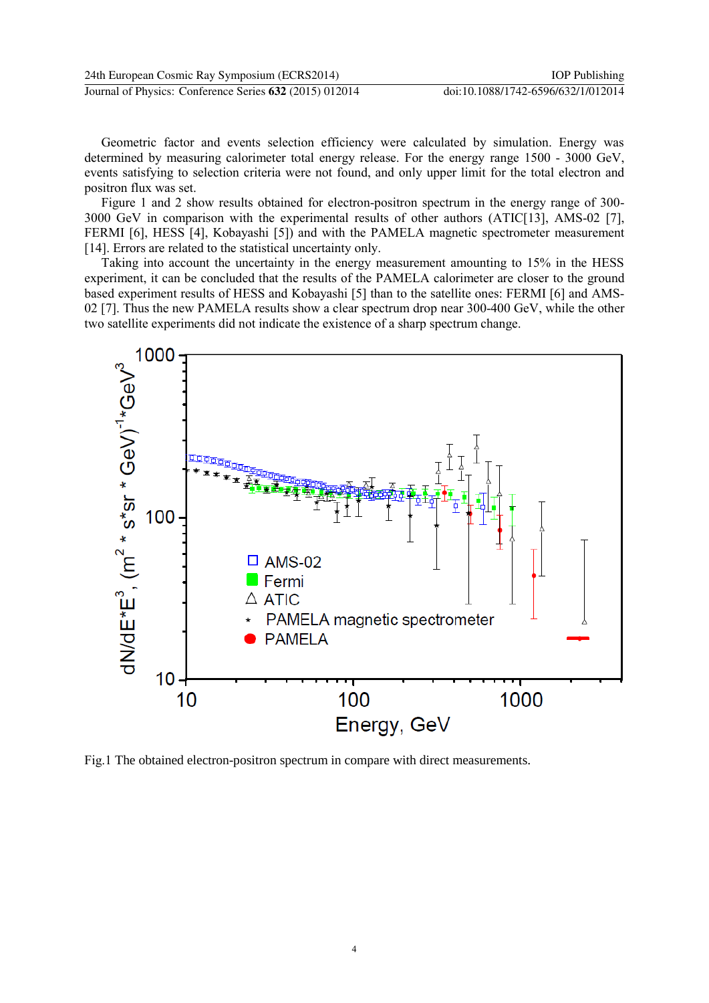Geometric factor and events selection efficiency were calculated by simulation. Energy was determined by measuring calorimeter total energy release. For the energy range 1500 - 3000 GeV, events satisfying to selection criteria were not found, and only upper limit for the total electron and positron flux was set.

Figure 1 and 2 show results obtained for electron-positron spectrum in the energy range of 300- 3000 GeV in comparison with the experimental results of other authors (ATIC[13], AMS-02 [7], FERMI [6], HESS [4], Kobayashi [5]) and with the PAMELA magnetic spectrometer measurement [14]. Errors are related to the statistical uncertainty only.

Taking into account the uncertainty in the energy measurement amounting to 15% in the HESS experiment, it can be concluded that the results of the PAMELA calorimeter are closer to the ground based experiment results of HESS and Kobayashi [5] than to the satellite ones: FERMI [6] and AMS-02 [7]. Thus the new PAMELA results show a clear spectrum drop near 300-400 GeV, while the other two satellite experiments did not indicate the existence of a sharp spectrum change.



Fig.1 The obtained electron-positron spectrum in compare with direct measurements.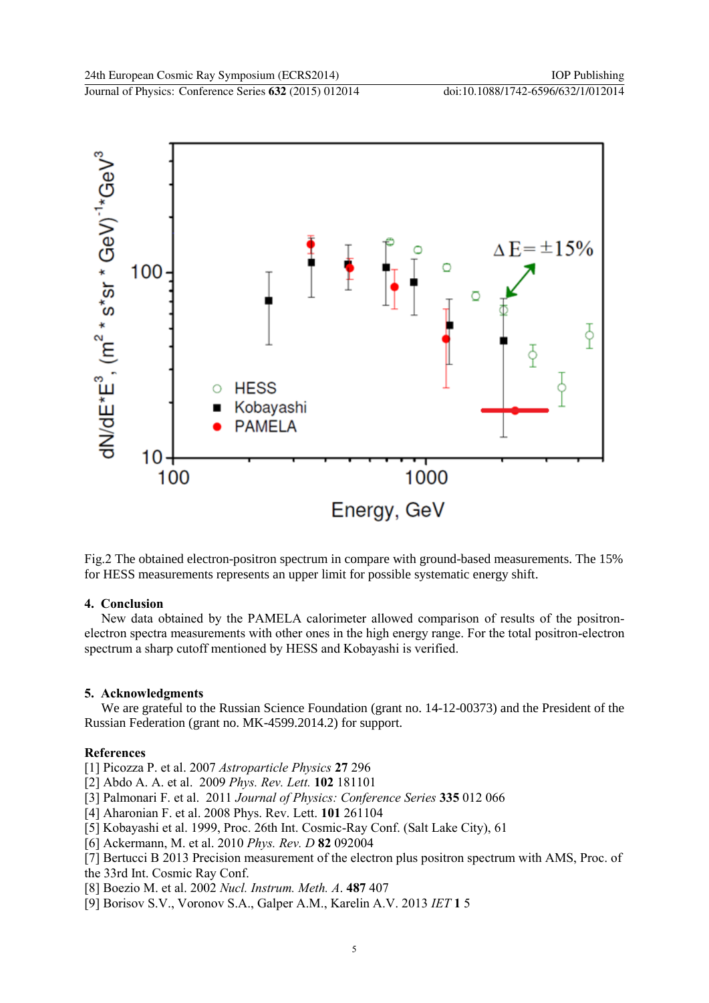

Fig.2 The obtained electron-positron spectrum in compare with ground-based measurements. The 15% for HESS measurements represents an upper limit for possible systematic energy shift.

# **4. Conclusion**

New data obtained by the PAMELA calorimeter allowed comparison of results of the positronelectron spectra measurements with other ones in the high energy range. For the total positron-electron spectrum a sharp cutoff mentioned by HESS and Kobayashi is verified.

# **5. Acknowledgments**

We are grateful to the Russian Science Foundation (grant no. 14-12-00373) and the President of the Russian Federation (grant no. MK-4599.2014.2) for support.

## **References**

[1] Picozza P. et al. 2007 *Astroparticle Physics* **27** 296

- [2] Abdo A. A. et al. 2009 *Phys. Rev. Lett.* **102** 181101
- [3] Palmonari F. et al. 2011 *Journal of Physics: Conference Series* **335** 012 066
- [4] Aharonian F. et al. 2008 Phys. Rev. Lett. **101** 261104
- [5] Kobayashi et al. 1999, Proc. 26th Int. Cosmic-Ray Conf. (Salt Lake City), 61
- [6] Ackermann, M. et al. 2010 *Phys. Rev. D* **82** 092004
- [7] Bertucci B 2013 Precision measurement of the electron plus positron spectrum with AMS, Proc. of the 33rd Int. Cosmic Ray Conf.
- [8] Boezio M. et al. 2002 *Nucl. Instrum. Meth. A*. **487** 407
- [9] Borisov S.V., Voronov S.A., Galper A.M., Karelin A.V. 2013 *IET* **1** 5